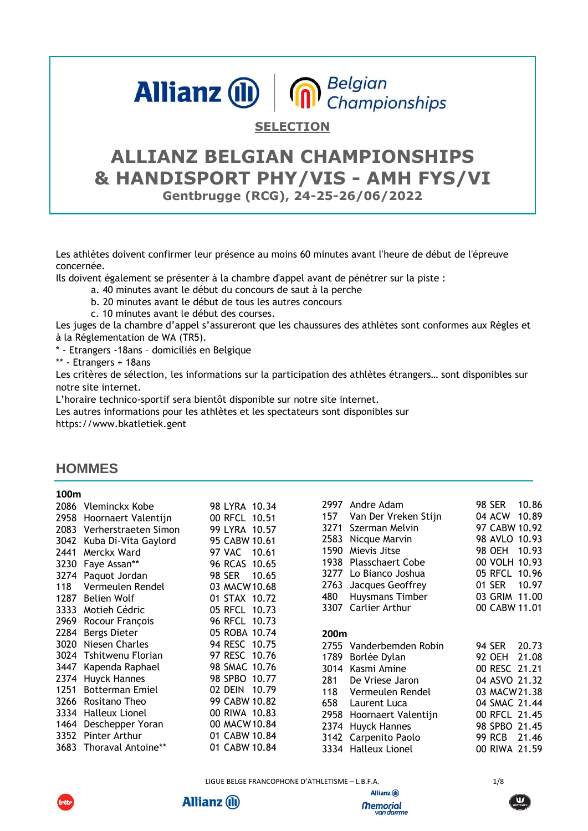# Allianz **(iii) n** Belgian

#### **SELECTION**

# **ALLIANZ BELGIAN CHAMPIONSHIPS & HANDISPORT PHY/VIS - AMH FYS/VI Gentbrugge (RCG), 24-25-26/06/2022**

Les athlètes doivent confirmer leur présence au moins 60 minutes avant l'heure de début de l'épreuve concernée.

Ils doivent également se présenter à la chambre d'appel avant de pénétrer sur la piste :

- a. 40 minutes avant le début du concours de saut à la perche
- b. 20 minutes avant le début de tous les autres concours
- c. 10 minutes avant le début des courses.

Les juges de la chambre d'appel s'assureront que les chaussures des athlètes sont conformes aux Règles et à la Réglementation de WA (TR5).

\* - Etrangers -18ans – domiciliés en Belgique

\*\* - Etrangers + 18ans

Les critères de sélection, les informations sur la participation des athlètes étrangers… sont disponibles sur notre site internet.

L'horaire technico-sportif sera bientôt disponible sur notre site internet.

Les autres informations pour les athlètes et les spectateurs sont disponibles sur

https://www.bkatletiek.gent

#### **HOMMES**

#### **100m**

|      | 2086 Vleminckx Kobe                           | 98 LYRA 10.34                  | 2997<br>Andre Adam               | 10.86<br><b>98 SER</b> |
|------|-----------------------------------------------|--------------------------------|----------------------------------|------------------------|
|      | 2958 Hoornaert Valentijn                      | 00 RFCL 10.51                  | Van Der Vreken Stijn<br>157      | 10.89<br>04 ACW        |
|      | 2083 Verherstraeten Simon                     | 99 LYRA 10.57                  | Szerman Melvin<br>3271           | 97 CABW 10.92          |
| 3042 | Kuba Di-Vita Gaylord                          | 95 CABW 10.61                  | Nicque Marvin<br>2583            | 98 AVLO 10.93          |
| 2441 | Merckx Ward                                   | 97 VAC 10.61                   | 1590<br>Mievis Jitse             | 10.93<br>98 OEH        |
|      | 3230 Faye Assan**                             | 96 RCAS 10.65                  | 1938<br><b>Plasschaert Cobe</b>  | 00 VOLH 10.93          |
|      | 3274 Paquot Jordan                            | 98 SER<br>10.65                | 3277 Lo Bianco Joshua            | 05 RFCL 10.96          |
| 118  | Vermeulen Rendel                              | 03 MACW10.68                   | Jacques Geoffrey<br>2763         | 10.97<br>01 SER        |
| 1287 | Belien Wolf                                   | 01 STAX 10.72                  | Huysmans Timber<br>480           | 03 GRIM 11.00          |
| 3333 | Motieh Cédric                                 | 05 RFCL 10.73                  | 3307 Carlier Arthur              | 00 CABW 11.01          |
| 2969 | Rocour François                               | 96 RFCL 10.73                  |                                  |                        |
|      |                                               |                                |                                  |                        |
|      | 2284 Bergs Dieter                             | 05 ROBA 10.74                  | 200 <sub>m</sub>                 |                        |
| 3020 | Niesen Charles                                | 94 RESC 10.75                  | 2755<br>Vanderbemden Robin       | 20.73<br>94 SER        |
|      | 3024 Tshitwenu Florian                        | 97 RESC 10.76                  | 1789                             | 21.08<br>92 OEH        |
| 3447 | Kapenda Raphael                               | 98 SMAC 10.76                  | Borlée Dylan<br>3014 Kasmi Amine | 00 RESC 21.21          |
|      | 2374 Huyck Hannes                             | 98 SPBO 10.77                  | 281<br>De Vriese Jaron           | 04 ASVO 21.32          |
| 1251 | <b>Botterman Emiel</b>                        | 02 DEIN 10.79                  | 118<br>Vermeulen Rendel          | 03 MACW 21.38          |
| 3266 | Rositano Theo                                 | 99 CABW 10.82                  | 658<br>Laurent Luca              | 04 SMAC 21.44          |
| 3334 | <b>Halleux Lionel</b>                         | 00 RIWA 10.83                  | 2958<br>Hoornaert Valentijn      | 00 RFCL 21.45          |
|      | 1464 Deschepper Yoran                         | 00 MACW10.84                   | 2374 Huyck Hannes                | 98 SPBO 21.45          |
|      | 3352 Pinter Arthur<br>3683 Thoraval Antoine** | 01 CABW 10.84<br>01 CABW 10.84 | 3142 Carpenito Paolo             | <b>99 RCB</b><br>21.46 |

LIGUE BELGE FRANCOPHONE D'ATHLETISME - L.B.F.A. 1/8

**Allianz** (ii)

**Memorial** van darme



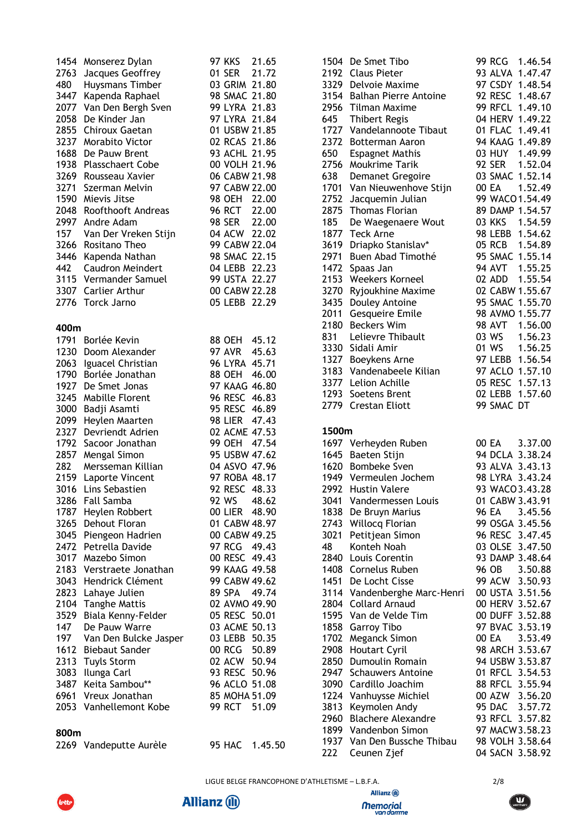|             | 1454 Monserez Dylan                    | <b>97 KKS</b>                | 21.65   |       | 1504 De Smet Tibo                               |               |               | 99 RCG 1.46.54                     |
|-------------|----------------------------------------|------------------------------|---------|-------|-------------------------------------------------|---------------|---------------|------------------------------------|
|             | 2763 Jacques Geoffrey                  | 01 SER                       | 21.72   |       | 2192 Claus Pieter                               |               |               | 93 ALVA 1.47.47                    |
| 480         | Huysmans Timber                        | 03 GRIM 21.80                |         |       | 3329 Delvoie Maxime                             |               |               | 97 CSDY 1.48.54                    |
|             | 3447 Kapenda Raphael                   | 98 SMAC 21.80                |         |       | 3154 Balhan Pierre Antoine                      |               |               | 92 RESC 1.48.67                    |
|             | 2077 Van Den Bergh Sven                | 99 LYRA 21.83                |         |       | 2956 Tilman Maxime                              |               |               | 99 RFCL 1.49.10                    |
|             | 2058 De Kinder Jan                     | 97 LYRA 21.84                |         | 645   | <b>Thibert Regis</b>                            |               |               | 04 HERV 1.49.22                    |
|             | 2855 Chiroux Gaetan                    | 01 USBW 21.85                |         |       | 1727 Vandelannoote Tibaut                       |               |               | 01 FLAC 1.49.41                    |
|             | 3237 Morabito Victor                   | 02 RCAS 21.86                |         |       | 2372 Botterman Aaron                            |               |               | 94 KAAG 1.49.89                    |
|             | 1688 De Pauw Brent                     | 93 ACHL 21.95                |         | 650   | <b>Espagnet Mathis</b>                          |               | <b>03 HUY</b> | 1.49.99                            |
|             | 1938 Plasschaert Cobe                  | 00 VOLH 21.96                |         |       | 2756 Moukrime Tarik                             | <b>92 SER</b> |               | 1.52.04                            |
|             | 3269 Rousseau Xavier                   | 06 CABW 21.98                |         | 638   | Demanet Gregoire                                |               |               | 03 SMAC 1.52.14                    |
| 3271        | Szerman Melvin                         | 97 CABW 22.00                |         |       | 1701 Van Nieuwenhove Stijn                      | 00 EA         |               | 1.52.49                            |
|             | 1590 Mievis Jitse                      | <b>98 OEH</b>                | 22.00   | 2752  | Jacquemin Julian                                |               |               | 99 WACO 1.54.49                    |
| 2048        | Roofthooft Andreas                     | <b>96 RCT</b>                | 22.00   |       | 2875 Thomas Florian                             |               |               | 89 DAMP 1.54.57                    |
|             | 2997 Andre Adam                        | <b>98 SER</b>                | 22.00   | 185   | De Waegenaere Wout                              | 03 KKS        |               | 1.54.59                            |
| 157         | Van Der Vreken Stijn                   | 04 ACW 22.02                 |         |       | 1877 Teck Arne                                  |               |               | 98 LEBB 1.54.62                    |
|             | 3266 Rositano Theo                     | 99 CABW 22.04                |         |       | 3619 Driapko Stanislav*                         | 05 RCB        |               | 1.54.89                            |
|             | 3446 Kapenda Nathan                    | 98 SMAC 22.15                |         |       | 2971 Buen Abad Timothé                          |               |               | 95 SMAC 1.55.14                    |
| 442         | Caudron Meindert                       | 04 LEBB 22.23                |         |       | 1472 Spaas Jan                                  |               | <b>94 AVT</b> | 1.55.25                            |
|             | 3115 Vermander Samuel                  | 99 USTA 22.27                |         |       | 2153 Weekers Korneel                            | 02 ADD        |               | 1.55.54                            |
|             | 3307 Carlier Arthur                    | 00 CABW 22.28                |         |       | 3270 Ryjoukhine Maxime                          |               |               | 02 CABW 1.55.67                    |
|             | 2776 Torck Jarno                       | 05 LEBB 22.29                |         |       | 3435 Douley Antoine                             |               |               | 95 SMAC 1.55.70                    |
|             |                                        |                              |         |       | 2011 Gesqueire Emile                            |               |               | 98 AVMO 1.55.77                    |
| 400m        |                                        |                              |         |       | 2180 Beckers Wim                                | <b>98 AVT</b> |               | 1.56.00                            |
|             | 1791 Borlée Kevin                      | 88 OEH 45.12                 |         | 831   | Lelievre Thibault                               | 03 WS         |               | 1.56.23                            |
|             | 1230 Doom Alexander                    | <b>97 AVR</b>                | 45.63   |       | 3330 Sidali Amir                                | 01 WS         |               | 1.56.25                            |
|             | 2063 Iguacel Christian                 | 96 LYRA 45.71                |         | 1327  | Boeykens Arne                                   |               |               | 97 LEBB 1.56.54                    |
|             | 1790 Borlée Jonathan                   | 88 OEH 46.00                 |         |       | 3183 Vandenabeele Kilian<br>3377 Lelion Achille |               |               | 97 ACLO 1.57.10<br>05 RESC 1.57.13 |
|             | 1927 De Smet Jonas                     | 97 KAAG 46.80                |         |       | 1293 Soetens Brent                              |               |               | 02 LEBB 1.57.60                    |
|             | 3245 Mabille Florent                   | 96 RESC 46.83                |         |       | 2779 Crestan Eliott                             |               | 99 SMAC DT    |                                    |
|             | 3000 Badji Asamti                      | 95 RESC 46.89                |         |       |                                                 |               |               |                                    |
| 2099        | Heylen Maarten                         | 98 LIER 47.43                |         |       |                                                 |               |               |                                    |
|             | 2327 Devriendt Adrien                  | 02 ACME 47.53                |         | 1500m |                                                 |               |               |                                    |
|             | 1792 Sacoor Jonathan                   | 99 OEH 47.54                 |         |       | 1697 Verheyden Ruben                            | 00 EA         |               | 3.37.00                            |
|             | 2857 Mengal Simon                      | 95 USBW 47.62                |         |       | 1645 Baeten Stijn                               |               |               | 94 DCLA 3.38.24                    |
| 282<br>2159 | Mersseman Killian                      | 04 ASVO 47.96                |         |       | 1620 Bombeke Sven                               |               |               | 93 ALVA 3.43.13                    |
|             | Laporte Vincent<br>3016 Lins Sebastien | 97 ROBA 48.17                |         |       | 1949 Vermeulen Jochem                           |               |               | 98 LYRA 3.43.24<br>93 WACO 3.43.28 |
|             | 3286 Fall Samba                        | 92 RESC 48.33<br>92 WS 48.62 |         |       | 2992 Hustin Valere<br>3041 Vandermessen Louis   |               |               | 01 CABW 3.43.91                    |
|             | 1787 Heylen Robbert                    | 00 LIER 48.90                |         |       | 1838 De Bruyn Marius                            | 96 EA         |               | 3.45.56                            |
|             | 3265 Dehout Floran                     | 01 CABW 48.97                |         |       | 2743 Willocq Florian                            |               |               | 99 OSGA 3.45.56                    |
|             | 3045 Piengeon Hadrien                  | 00 CABW 49.25                |         |       | 3021 Petitjean Simon                            |               |               | 96 RESC 3.47.45                    |
|             | 2472 Petrella Davide                   | 97 RCG 49.43                 |         | 48    | Konteh Noah                                     |               |               | 03 OLSE 3.47.50                    |
|             | 3017 Mazebo Simon                      | 00 RESC 49.43                |         |       | 2840 Louis Corentin                             |               |               | 93 DAMP 3.48.64                    |
|             | 2183 Verstraete Jonathan               | 99 KAAG 49.58                |         |       | 1408 Cornelus Ruben                             | 96 OB         |               | 3.50.88                            |
|             | 3043 Hendrick Clément                  | 99 CABW 49.62                |         |       | 1451 De Locht Cisse                             |               |               | 99 ACW 3.50.93                     |
|             | 2823 Lahaye Julien                     | 89 SPA 49.74                 |         |       | 3114 Vandenberghe Marc-Henri                    |               |               | 00 USTA 3.51.56                    |
|             | 2104 Tanghe Mattis                     | 02 AVMO 49.90                |         |       | 2804 Collard Arnaud                             |               |               | 00 HERV 3.52.67                    |
|             | 3529 Biala Kenny-Felder                | 05 RESC 50.01                |         |       | 1595 Van de Velde Tim                           |               |               | 00 DUFF 3.52.88                    |
| 147         | De Pauw Warre                          | 03 ACME 50.13                |         |       | 1858 Garroy Tibo                                |               |               | 97 BVAC 3.53.19                    |
| 197         | Van Den Bulcke Jasper                  | 03 LEBB 50.35                |         |       | 1702 Meganck Simon                              | 00 EA         |               | 3.53.49                            |
|             | 1612 Biebaut Sander                    | 00 RCG                       | 50.89   |       | 2908 Houtart Cyril                              |               |               | 98 ARCH 3.53.67                    |
| 2313        | Tuyls Storm                            | 02 ACW 50.94                 |         |       | 2850 Dumoulin Romain                            |               |               | 94 USBW 3.53.87                    |
| 3083        | Ilunga Carl                            | 93 RESC 50.96                |         |       | 2947 Schauwers Antoine                          |               |               | 01 RFCL 3.54.53                    |
| 3487        | Keita Sambou**                         | 96 ACLO 51.08                |         |       | 3090 Cardillo Joachim                           |               |               | 88 RFCL 3.55.94                    |
| 6961        | Vreux Jonathan                         | 85 MOHA 51.09                |         |       | 1224 Vanhuysse Michiel                          |               |               | 00 AZW 3.56.20                     |
|             | 2053 Vanhellemont Kobe                 | 99 RCT 51.09                 |         |       | 3813 Keymolen Andy                              | 95 DAC        |               | 3.57.72                            |
|             |                                        |                              |         |       | 2960 Blachere Alexandre                         |               |               | 93 RFCL 3.57.82                    |
| 800m        |                                        |                              |         |       | 1899 Vandenbon Simon                            |               |               | 97 MACW 3.58.23                    |
|             | 2269 Vandeputte Aurèle                 | <b>95 HAC</b>                | 1.45.50 |       | 1937 Van Den Bussche Thibau                     |               |               | 98 VOLH 3.58.64                    |
|             |                                        |                              |         | 222   | Ceunen Zjef                                     |               |               | 04 SACN 3.58.92                    |

LIGUE BELGE FRANCOPHONE D'ATHLETISME – L.B.F.A. 2/8







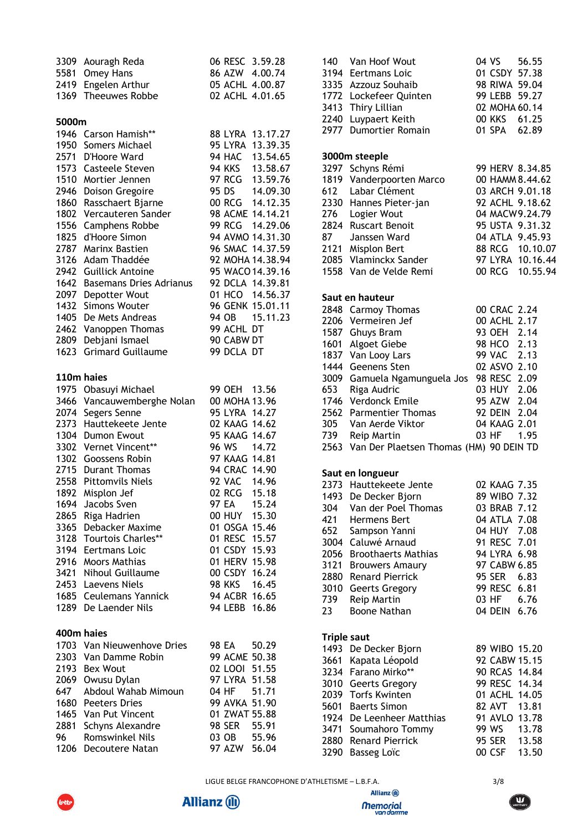| 3309         | Aouragh Reda                   |               | 06 RESC 3.59.28  |
|--------------|--------------------------------|---------------|------------------|
| 5581         | Omey Hans                      |               | 86 AZW 4.00.74   |
| 2419         | Engelen Arthur                 |               | 05 ACHL 4.00.87  |
| 1369         | <b>Theeuwes Robbe</b>          |               | 02 ACHL 4.01.65  |
|              |                                |               |                  |
| 5000m        |                                |               |                  |
|              | 1946 Carson Hamish**           |               | 88 LYRA 13.17.27 |
| 1950         | Somers Michael                 | 95 LYRA       | 13.39.35         |
|              | 2571 D'Hoore Ward              | <b>94 HAC</b> | 13.54.65         |
|              | 1573 Casteele Steven           | <b>94 KKS</b> | 13.58.67         |
| 1510         | Mortier Jennen                 |               | 97 RCG 13.59.76  |
|              | 2946 Doison Gregoire           |               | 95 DS 14.09.30   |
|              | 1860 Rasschaert Bjarne         |               | 00 RCG 14.12.35  |
|              | 1802 Vercauteren Sander        |               | 98 ACME 14.14.21 |
| 1556         | Camphens Robbe                 |               | 99 RCG 14.29.06  |
| 1825         | d'Hoore Simon                  |               | 94 AVMO 14.31.30 |
| 2787         | Marinx Bastien                 |               | 96 SMAC 14.37.59 |
| 3126         | Adam Thaddée                   |               | 92 MOHA 14.38.94 |
| 2942         | <b>Guillick Antoine</b>        |               | 95 WACO 14.39.16 |
| 1642         | <b>Basemans Dries Adrianus</b> |               | 92 DCLA 14.39.81 |
| 2097         | Depotter Wout                  |               | 01 HCO 14.56.37  |
|              | 1432 Simons Wouter             |               | 96 GENK 15.01.11 |
| 1405         | De Mets Andreas                | 94 OB         | 15.11.23         |
|              | Vanoppen Thomas                | 99 ACHL DT    |                  |
| 2462<br>2809 | Debjani Ismael                 | 90 CABW DT    |                  |
|              | <b>Grimard Guillaume</b>       | 99 DCLA DT    |                  |
| 1623         |                                |               |                  |
|              |                                |               |                  |
| 110m haies   |                                |               |                  |
| 1975         | Obasuyi Michael                | 99 OEH 13.56  |                  |
| 3466         | Vancauwemberghe Nolan          | 00 MOHA 13.96 |                  |
| 2074         | Segers Senne                   | 95 LYRA 14.27 |                  |
| 2373         | Hauttekeete Jente              | 02 KAAG 14.62 |                  |
|              | 1304 Dumon Ewout               | 95 KAAG 14.67 |                  |
| 3302         | Vernet Vincent**               | 96 WS 14.72   |                  |
| 1302         | Goossens Robin                 | 97 KAAG 14.81 |                  |
| 2715         | <b>Durant Thomas</b>           | 94 CRAC 14.90 |                  |
| 2558         | <b>Pittomvils Niels</b>        | 92 VAC 14.96  |                  |
| 1892         | Misplon Jef                    | 02 RCG        | 15.18            |
| 1694         | Jacobs Sven                    | 97 EA         | 15.24            |
| 2865         | Riga Hadrien                   | 00 HUY 15.30  |                  |
| 3365         | Debacker Maxime                | 01 OSGA 15.46 |                  |
| 3128         | <b>Tourtois Charles**</b>      | 01 RESC 15.57 |                  |
| 3194         | Eertmans Loic                  | 01 CSDY 15.93 |                  |
| 2916         | <b>Moors Mathias</b>           |               | 01 HERV 15.98    |
| 3421         | <b>Nihoul Guillaume</b>        |               | 00 CSDY 16.24    |
|              | 2453 Laevens Niels             | <b>98 KKS</b> | 16.45            |
| 1685         | Ceulemans Yannick              | 94 ACBR 16.65 |                  |
| 1289         | De Laender Nils                | 94 LEBB       | 16.86            |
|              |                                |               |                  |
| 400m haies   |                                |               |                  |
|              | 1703 Van Nieuwenhove Dries     | 98 EA         | 50.29            |
|              | 2303 Van Damme Robin           |               | 99 ACME 50.38    |
| 2193         | <b>Bex Wout</b>                | 02 LOOI 51.55 |                  |
| 2069         | Owusu Dylan                    | 97 LYRA 51.58 |                  |
| 647          | Abdoul Wahab Mimoun            | 04 HF         | 51.71            |
|              | 1680 Peeters Dries             | 99 AVKA 51.90 |                  |
|              | 1465 Van Put Vincent           |               | 01 ZWAT 55.88    |
| 2881         | Schyns Alexandre               | 98 SER        | 55.91            |
| 96           | <b>Romswinkel Nils</b>         | 03 OB         | 55.96            |
| 1206         | Decoutere Natan                | 97 AZW        | 56.04            |

| 140                | Van Hoof Wout                                                   | 04 VS 56.55                   |                  |
|--------------------|-----------------------------------------------------------------|-------------------------------|------------------|
|                    | 3194 Eertmans Loic                                              |                               | 01 CSDY 57.38    |
|                    | 3335 Azzouz Souhaib                                             |                               | 98 RIWA 59.04    |
|                    | 1772 Lockefeer Quinten                                          | 99 LEBB 59.27                 |                  |
|                    | 3413 Thiry Lillian                                              | 02 MOHA 60.14                 |                  |
| 2240               | Luypaert Keith                                                  | 00 KKS 61.25                  |                  |
| 2977               | Dumortier Romain                                                | 01 SPA                        | 62.89            |
|                    | 3000m steeple                                                   |                               |                  |
|                    | 3297 Schyns Rémi                                                |                               | 99 HERV 8.34.85  |
|                    | 1819 Vanderpoorten Marco                                        |                               | 00 HAMM 8.44.62  |
|                    | 612 Labar Clément                                               |                               | 03 ARCH 9.01.18  |
|                    | 2330 Hannes Pieter-jan                                          |                               | 92 ACHL 9.18.62  |
|                    | 276 Logier Wout                                                 |                               | 04 MACW9.24.79   |
|                    | 2824 Ruscart Benoit                                             |                               | 95 USTA 9.31.32  |
|                    | 87 Janssen Ward                                                 |                               | 04 ATLA 9.45.93  |
|                    | 2121 Misplon Bert                                               |                               | 88 RCG 10.10.07  |
|                    | 2085 Vlaminckx Sander                                           |                               | 97 LYRA 10.16.44 |
|                    | 1558 Van de Velde Remi                                          |                               | 00 RCG 10.55.94  |
|                    | Saut en hauteur                                                 |                               |                  |
|                    | 2848 Carmoy Thomas                                              | 00 CRAC 2.24                  |                  |
|                    | 2206 Vermeiren Jef                                              | 00 ACHL 2.17                  |                  |
|                    | 1587 Ghuys Bram                                                 | 93 OEH 2.14                   |                  |
|                    | 1601 Algoet Giebe                                               | 98 HCO 2.13                   |                  |
|                    | 1837 Van Looy Lars                                              | 99 VAC 2.13                   |                  |
|                    | 1444 Geenens Sten                                               | 02 ASVO 2.10                  |                  |
| 3009               | Gamuela Ngamunguela Jos                                         | 98 RESC 2.09                  |                  |
|                    | 653 Riga Audric                                                 | 03 HUY 2.06                   |                  |
|                    | 1746 Verdonck Emile                                             | 95 AZW 2.04                   |                  |
|                    | 2562 Parmentier Thomas                                          | 92 DEIN 2.04                  |                  |
|                    | 305 Van Aerde Viktor                                            | 04 KAAG 2.01                  |                  |
|                    | 739 Reip Martin<br>2563 Van Der Plaetsen Thomas (HM) 90 DEIN TD | 03 HF                         | 1.95             |
|                    |                                                                 |                               |                  |
|                    | Saut en longueur                                                |                               |                  |
|                    | 2373 Hauttekeete Jente                                          | 02 KAAG 7.35                  |                  |
|                    | 1493 De Decker Bjorn                                            | 89 WIBO 7.32                  |                  |
| 304                | Van der Poel Thomas                                             | 03 BRAB 7.12                  |                  |
|                    | 421 Hermens Bert                                                | 04 ATLA 7.08                  |                  |
| 652                | Sampson Yanni                                                   | 04 HUY 7.08                   |                  |
| 3004               | Caluwé Arnaud                                                   | 91 RESC 7.01                  |                  |
| 2056               | <b>Broothaerts Mathias</b>                                      | 94 LYRA 6.98                  |                  |
|                    | 3121 Brouwers Amaury                                            | 97 CABW 6.85                  |                  |
| 2880               | <b>Renard Pierrick</b>                                          | 95 SER 6.83                   |                  |
| 3010<br>739        | Geerts Gregory                                                  | 99 RESC<br>03 HF 6.76         | 6.81             |
| 23                 | Reip Martin<br>Boone Nathan                                     | 04 DEIN 6.76                  |                  |
|                    |                                                                 |                               |                  |
| <b>Triple saut</b> |                                                                 |                               |                  |
|                    | 1493 De Decker Bjorn                                            | 89 WIBO 15.20                 |                  |
|                    | 3661 Kapata Léopold                                             | 92 CABW 15.15                 |                  |
|                    | 3234 Farano Mirko**                                             | 90 RCAS 14.84                 |                  |
|                    | 3010 Geerts Gregory                                             | 99 RESC 14.34                 |                  |
|                    | 2039 Torfs Kwinten<br>5601 Baerts Simon                         | 01 ACHL 14.05<br>82 AVT 13.81 |                  |
|                    | 1924 De Leenheer Matthias                                       | 91 AVLO 13.78                 |                  |
| 3471               | Soumahoro Tommy                                                 | 99 WS                         | 13.78            |
| 2880               | <b>Renard Pierrick</b>                                          | <b>95 SER</b>                 | 13.58            |
| 3290               | <b>Basseg Loïc</b>                                              | 00 CSF                        | 13.50            |
|                    |                                                                 |                               |                  |



**Allianz (ii)** 



lotte



Allianz (ii)

**Memorial**<br>van damme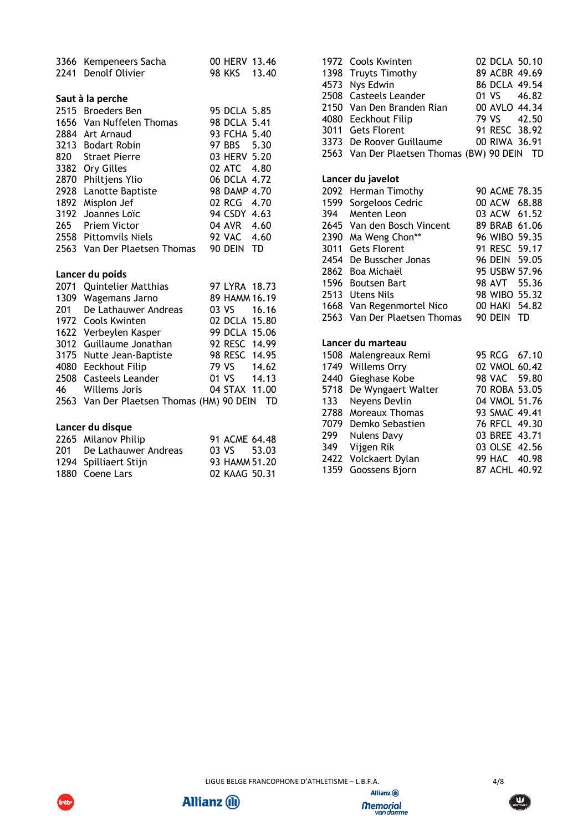| 2241 | 3366 Kempeneers Sacha<br>Denolf Olivier   | 00 HERV 13.46<br>98 KKS | 13.40 |
|------|-------------------------------------------|-------------------------|-------|
|      |                                           |                         |       |
|      | Saut à la perche                          |                         |       |
|      | 2515 Broeders Ben                         | 95 DCLA 5.85            |       |
|      | 1656 Van Nuffelen Thomas                  | 98 DCLA 5.41            |       |
|      | 2884 Art Arnaud                           | 93 FCHA 5.40            |       |
|      | 3213 Bodart Robin                         | <b>97 BBS</b>           | 5.30  |
| 820  | <b>Straet Pierre</b>                      | 03 HERV 5.20            |       |
|      | 3382 Ory Gilles                           | 02 ATC 4.80             |       |
|      | 2870 Philtjens Ylio                       | 06 DCLA 4.72            |       |
|      | 2928 Lanotte Baptiste                     | 98 DAMP 4.70            |       |
|      | 1892 Misplon Jef                          | 02 RCG 4.70             |       |
| 3192 | Joannes Loïc                              | 94 CSDY 4.63            |       |
| 265  | <b>Priem Victor</b>                       | 04 AVR 4.60             |       |
|      | 2558 Pittomvils Niels                     | <b>92 VAC</b>           | 4.60  |
|      | 2563 Van Der Plaetsen Thomas              | 90 DEIN                 | TD    |
|      |                                           |                         |       |
|      | Lancer du poids                           |                         |       |
|      | 2071 Quintelier Matthias                  | 97 LYRA 18.73           |       |
|      | 1309 Wagemans Jarno                       | 89 HAMM 16.19           |       |
| 201  | De Lathauwer Andreas                      | 03 VS                   | 16.16 |
|      | 1972 Cools Kwinten                        | 02 DCLA 15.80           |       |
|      | 1622 Verbeylen Kasper                     | 99 DCLA 15.06           |       |
|      | 3012 Guillaume Jonathan                   | 92 RESC 14.99           |       |
|      | 3175 Nutte Jean-Baptiste                  | 98 RESC 14.95           |       |
| 4080 | <b>Eeckhout Filip</b>                     | 79 VS                   | 14.62 |
| 2508 | <b>Casteels Leander</b>                   | 01 VS                   | 14.13 |
| 46   | Willems Joris                             | 04 STAX 11.00           |       |
|      | 2563 Van Der Plaetsen Thomas (HM) 90 DEIN |                         | - TD  |
|      |                                           |                         |       |
|      | Lancer du disque                          |                         |       |
|      | 2265 Milanov Philip                       | 91 ACME 64.48           |       |
| 201  | De Lathauwer Andreas                      | 03 VS                   | 53.03 |

 Spilliaert Stijn 93 HAMM 51.20 Coene Lars 02 KAAG 50.31

| 1972 | Cools Kwinten                                        | 02 DCLA 50.10                  |
|------|------------------------------------------------------|--------------------------------|
| 1398 | <b>Truyts Timothy</b>                                | 89 ACBR 49.69                  |
| 4573 | Nys Edwin                                            | 86 DCLA 49.54                  |
| 2508 | <b>Casteels Leander</b>                              | 01 VS<br>46.82                 |
| 2150 | Van Den Branden Rian                                 | 00 AVLO 44.34                  |
| 4080 | Eeckhout Filip                                       | 79 VS<br>42.50                 |
| 3011 | <b>Gets Florent</b>                                  | 91 RESC 38.92                  |
|      | 3373 De Roover Guillaume                             | 00 RIWA 36.91                  |
|      | 2563 Van Der Plaetsen Thomas (BW) 90 DEIN TD         |                                |
|      |                                                      |                                |
|      | Lancer du javelot                                    |                                |
|      | 2092 Herman Timothy                                  | 90 ACME 78.35                  |
| 1599 | Sorgeloos Cedric                                     | 00 ACW<br>68.88                |
| 394  | Menten Leon                                          | 03 ACW 61.52                   |
| 2645 | Van den Bosch Vincent                                | 89 BRAB 61.06                  |
| 2390 | Ma Weng Chon**                                       | 96 WIBO 59.35                  |
| 3011 | <b>Gets Florent</b>                                  | 91 RESC 59.17                  |
| 2454 | De Busscher Jonas                                    | 96 DEIN 59.05                  |
| 2862 | Boa Michaël                                          | 95 USBW 57.96                  |
| 1596 | <b>Boutsen Bart</b>                                  | 98 AVT 55.36                   |
| 2513 | <b>Utens Nils</b>                                    | 98 WIBO 55.32<br>00 HAKI 54.82 |
| 2563 | 1668 Van Regenmortel Nico<br>Van Der Plaetsen Thomas | 90 DEIN<br>TD                  |
|      |                                                      |                                |
|      | Lancer du marteau                                    |                                |
| 1508 | Malengreaux Remi                                     | 95 RCG<br>67.10                |
| 1749 | <b>Willems Orry</b>                                  | 02 VMOL 60.42                  |
| 2440 | Gieghase Kobe                                        | <b>98 VAC</b><br>59.80         |
| 5718 | De Wyngaert Walter                                   | 70 ROBA 53.05                  |
| 133  | Neyens Devlin                                        | 04 VMOL 51.76                  |
| 2788 | <b>Moreaux Thomas</b>                                | 93 SMAC 49.41                  |
| 7079 | Demko Sebastien                                      | 76 RFCL 49.30                  |
| 299  | <b>Nulens Davy</b>                                   | 03 BREE 43.71                  |
| 349  | Vijgen Rik                                           | 03 OLSE 42.56                  |
| 2422 | Volckaert Dylan                                      | 99 HAC 40.98                   |
| 1359 | Goossens Bjorn                                       | 87 ACHL 40.92                  |





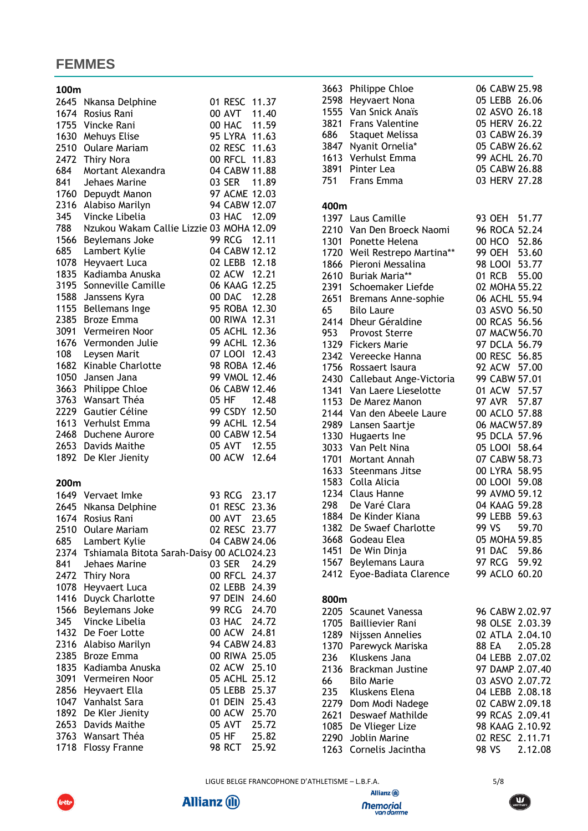## **FEMMES**

| 100m |                                           |               |       |
|------|-------------------------------------------|---------------|-------|
|      | 2645 Nkansa Delphine                      | 01 RESC 11.37 |       |
|      | 1674 Rosius Rani                          | 00 AVT 11.40  |       |
| 1755 | Vincke Rani                               | 00 HAC 11.59  |       |
| 1630 | Mehuys Elise                              | 95 LYRA 11.63 |       |
| 2510 | <b>Oulare Mariam</b>                      | 02 RESC 11.63 |       |
| 2472 | Thiry Nora                                | 00 RFCL 11.83 |       |
| 684  |                                           | 04 CABW 11.88 |       |
|      | Mortant Alexandra                         |               |       |
| 841  | Jehaes Marine                             | 03 SER 11.89  |       |
| 1760 | Depuydt Manon                             | 97 ACME 12.03 |       |
| 2316 | Alabiso Marilyn                           | 94 CABW 12.07 |       |
| 345  | Vincke Libelia                            | 03 HAC 12.09  |       |
| 788  | Nzukou Wakam Callie Lizzie 03 MOHA 12.09  |               |       |
| 1566 | Beylemans Joke                            | 99 RCG 12.11  |       |
| 685  | Lambert Kylie                             | 04 CABW 12.12 |       |
| 1078 | Heyvaert Luca                             | 02 LEBB 12.18 |       |
| 1835 | Kadiamba Anuska                           | 02 ACW 12.21  |       |
| 3195 | Sonneville Camille                        | 06 KAAG 12.25 |       |
| 1588 | Janssens Kyra                             | 00 DAC 12.28  |       |
| 1155 | <b>Bellemans Inge</b>                     | 95 ROBA 12.30 |       |
| 2385 | <b>Broze Emma</b>                         | 00 RIWA 12.31 |       |
| 3091 | Vermeiren Noor                            | 05 ACHL 12.36 |       |
| 1676 | Vermonden Julie                           | 99 ACHL 12.36 |       |
|      |                                           | 07 LOOI 12.43 |       |
| 108  | Leysen Marit                              |               |       |
| 1682 | Kinable Charlotte                         | 98 ROBA 12.46 |       |
| 1050 | Jansen Jana                               | 99 VMOL 12.46 |       |
| 3663 | Philippe Chloe                            | 06 CABW 12.46 |       |
| 3763 | Wansart Théa                              | 05 HF         | 12.48 |
| 2229 | Gautier Céline                            | 99 CSDY 12.50 |       |
| 1613 | Verhulst Emma                             | 99 ACHL 12.54 |       |
| 2468 | Duchene Aurore                            | 00 CABW 12.54 |       |
|      | 2653 Davids Maithe                        | 05 AVT 12.55  |       |
|      | 1892 De Kler Jienity                      | 00 ACW 12.64  |       |
| 200m |                                           |               |       |
|      | 1649 Vervaet Imke                         | 93 RCG 23.17  |       |
|      | 2645 Nkansa Delphine                      | 01 RESC 23.36 |       |
|      | 1674 Rosius Rani                          | 00 AVT        | 23.65 |
|      | 2510 Oulare Mariam                        | 02 RESC 23.77 |       |
|      |                                           |               |       |
| 685  | Lambert Kylie                             | 04 CABW 24.06 |       |
| 2374 | Tshiamala Bitota Sarah-Daisy 00 ACLO24.23 |               |       |
| 841  | Jehaes Marine                             | 03 SER        | 24.29 |
| 2472 | Thiry Nora                                | 00 RFCL       | 24.37 |
| 1078 | Heyvaert Luca                             | 02 LEBB       | 24.39 |
| 1416 | Duyck Charlotte                           | 97 Dein       | 24.60 |
| 1566 | Beylemans Joke                            | 99 RCG 24.70  |       |
| 345  | Vincke Libelia                            | 03 HAC 24.72  |       |
| 1432 | De Foer Lotte                             | 00 ACW        | 24.81 |
| 2316 | Alabiso Marilyn                           | 94 CABW 24.83 |       |
| 2385 | Broze Emma                                | 00 RIWA       | 25.05 |
| 1835 | Kadiamba Anuska                           | 02 ACW        | 25.10 |
| 3091 | Vermeiren Noor                            | 05 ACHL       | 25.12 |
| 2856 | Heyvaert Ella                             | 05 LEBB       | 25.37 |
| 1047 | Vanhalst Sara                             | 01 DEIN       | 25.43 |
|      |                                           | 00 ACW        |       |
| 1892 | De Kler Jienity                           |               | 25.70 |
| 2653 | Davids Maithe                             | 05 AVT        | 25.72 |
| 3763 | Wansart Théa                              | 05 HF         | 25.82 |
| 1718 | <b>Flossy Franne</b>                      | 98 RCT        | 25.92 |

| 2598<br>1555<br>3821<br>686 | 3663 Philippe Chloe<br>Heyvaert Nona<br>Van Snick Anaïs<br><b>Frans Valentine</b><br><b>Staquet Melissa</b><br>3847 Nyanit Ornelia* | 06 CABW 25.98<br>05 LEBB 26.06<br>02 ASVO 26.18<br>05 HERV 26.22<br>03 CABW 26.39<br>05 CABW 26.62 |         |  |
|-----------------------------|-------------------------------------------------------------------------------------------------------------------------------------|----------------------------------------------------------------------------------------------------|---------|--|
|                             | 1613 Verhulst Emma<br>3891 Pinter Lea<br>751 Frans Emma                                                                             | 99 ACHL 26.70<br>05 CABW 26.88<br>03 HERV 27.28                                                    |         |  |
| 400m                        |                                                                                                                                     |                                                                                                    |         |  |
|                             | 1397 Laus Camille                                                                                                                   | 93 OEH 51.77                                                                                       |         |  |
| 2210                        | Van Den Broeck Naomi                                                                                                                | 96 ROCA 52.24                                                                                      |         |  |
|                             | 1301 Ponette Helena                                                                                                                 | 00 HCO 52.86                                                                                       |         |  |
|                             | 1720 Weil Restrepo Martina**                                                                                                        | 99 OEH 53.60                                                                                       |         |  |
|                             | 1866 Pieroni Messalina                                                                                                              | 98 LOOI 53.77                                                                                      |         |  |
|                             | 2610 Buriak Maria**                                                                                                                 | 01 RCB 55.00                                                                                       |         |  |
|                             | 2391 Schoemaker Liefde                                                                                                              | 02 MOHA 55.22                                                                                      |         |  |
|                             | 2651 Bremans Anne-sophie                                                                                                            | 06 ACHL 55.94                                                                                      |         |  |
| 65 —                        | <b>Bilo Laure</b>                                                                                                                   | 03 ASVO 56.50                                                                                      |         |  |
| 2414                        | Dheur Géraldine                                                                                                                     | 00 RCAS 56.56                                                                                      |         |  |
|                             | 953 Provost Sterre                                                                                                                  | 07 MACW 56.70                                                                                      |         |  |
|                             | 1329 Fickers Marie                                                                                                                  | 97 DCLA 56.79                                                                                      |         |  |
| 2342                        | Vereecke Hanna                                                                                                                      | 00 RESC 56.85                                                                                      |         |  |
|                             | 1756 Rossaert Isaura                                                                                                                | 92 ACW 57.00                                                                                       |         |  |
| 2430                        | Callebaut Ange-Victoria                                                                                                             | 99 CABW 57.01                                                                                      |         |  |
| 1341                        | Van Laere Lieselotte<br>De Marez Manon                                                                                              | 01 ACW 57.57<br>97 AVR 57.87                                                                       |         |  |
| 1153<br>2144                | Van den Abeele Laure                                                                                                                | 00 ACLO 57.88                                                                                      |         |  |
| 2989                        | Lansen Saartje                                                                                                                      | 06 MACW 57.89                                                                                      |         |  |
| 1330                        | Hugaerts Ine                                                                                                                        | 95 DCLA 57.96                                                                                      |         |  |
| 3033                        | Van Pelt Nina                                                                                                                       | 05 LOOI 58.64                                                                                      |         |  |
|                             | 1701 Mortant Annah                                                                                                                  | 07 CABW 58.73                                                                                      |         |  |
|                             | 1633 Steenmans Jitse                                                                                                                | 00 LYRA 58.95                                                                                      |         |  |
|                             | 1583 Colla Alicia                                                                                                                   | 00 LOOI 59.08                                                                                      |         |  |
|                             | 1234 Claus Hanne                                                                                                                    | 99 AVMO 59.12                                                                                      |         |  |
| 298                         | De Varé Clara                                                                                                                       | 04 KAAG 59.28                                                                                      |         |  |
| 1884                        | De Kinder Kiana                                                                                                                     | 99 LEBB 59.63                                                                                      |         |  |
| 1382                        | De Swaef Charlotte                                                                                                                  | 99 VS                                                                                              | 59.70   |  |
| 3668                        | Godeau Elea                                                                                                                         | 05 MOHA 59.85                                                                                      |         |  |
| 1451                        | De Win Dinja                                                                                                                        | 91 DAC 59.86                                                                                       |         |  |
| 1567                        | Beylemans Laura                                                                                                                     | 97 RCG                                                                                             | 59.92   |  |
| 2412                        | Eyoe-Badiata Clarence                                                                                                               | 99 ACLO 60.20                                                                                      |         |  |
| 800m                        |                                                                                                                                     |                                                                                                    |         |  |
| 2205                        | Scaunet Vanessa                                                                                                                     | 96 CABW 2.02.97                                                                                    |         |  |
| 1705                        | <b>Baillievier Rani</b>                                                                                                             | 98 OLSE 2.03.39                                                                                    |         |  |
| 1289                        | Nijssen Annelies                                                                                                                    | 02 ATLA 2.04.10                                                                                    |         |  |
| 1370                        | Parewyck Mariska                                                                                                                    | 88 EA                                                                                              | 2.05.28 |  |
| 236                         | Kluskens Jana                                                                                                                       | 04 LEBB 2.07.02                                                                                    |         |  |
| 2136                        | Brackman Justine                                                                                                                    | 97 DAMP 2.07.40                                                                                    |         |  |
| 66                          | <b>Bilo Marie</b>                                                                                                                   | 03 ASVO 2.07.72                                                                                    |         |  |
| 235                         | Kluskens Elena                                                                                                                      | 04 LEBB 2.08.18                                                                                    |         |  |
| 2279                        | Dom Modi Nadege                                                                                                                     | 02 CABW 2.09.18                                                                                    |         |  |
| 2621                        | Deswaef Mathilde                                                                                                                    | 99 RCAS 2.09.41                                                                                    |         |  |
| 1085                        | De Vlieger Lize                                                                                                                     | 98 KAAG 2.10.92                                                                                    |         |  |
| 2290                        | Joblin Marine                                                                                                                       | 02 RESC 2.11.71                                                                                    |         |  |
| 1263                        | Cornelis Jacintha                                                                                                                   | 98 VS                                                                                              | 2.12.08 |  |

LIGUE BELGE FRANCOPHONE D'ATHLETISME – L.B.F.A. 5/8



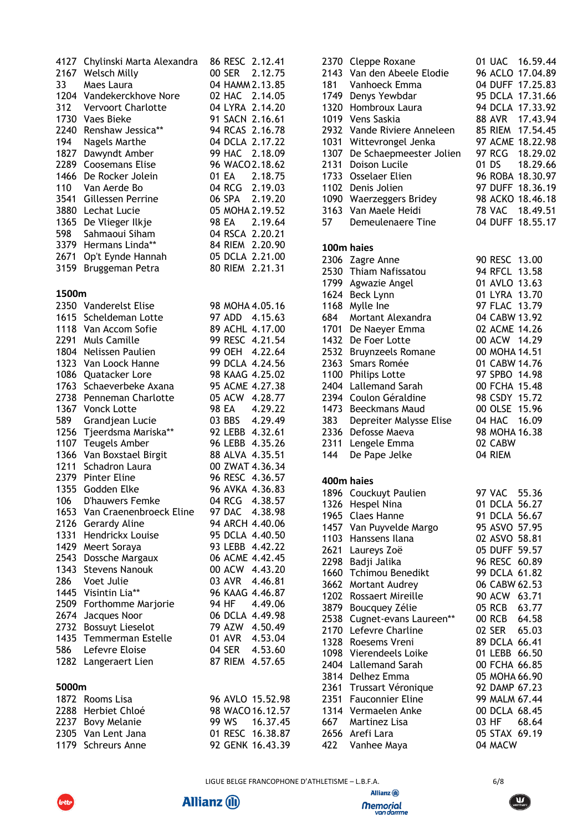|              | 4127 Chylinski Marta Alexandra           | 86 RESC 2.12.41                    | 2370             |
|--------------|------------------------------------------|------------------------------------|------------------|
|              | 2167 Welsch Milly                        | 00 SER 2.12.75                     | 2143             |
| 33           | Maes Laura                               | 04 HAMM 2.13.85                    | 181              |
| 1204         | Vandekerckhove Nore                      | 02 HAC 2.14.05                     | 1749             |
| 312          | <b>Vervoort Charlotte</b>                | 04 LYRA 2.14.20                    | 1320             |
|              | 1730 Vaes Bieke                          | 91 SACN 2.16.61                    | 1019             |
| 2240         | Renshaw Jessica**                        | 94 RCAS 2.16.78                    | 2932             |
| 194          | Nagels Marthe                            | 04 DCLA 2.17.22                    | 1031             |
| 1827         | Dawyndt Amber                            | 99 HAC 2.18.09                     | 1307             |
| 2289         | <b>Coosemans Elise</b>                   | 96 WACO 2.18.62                    | 2131             |
| 1466         | De Rocker Jolein                         | 01 EA 2.18.75                      | 1733             |
| 110          | Van Aerde Bo                             | 04 RCG 2.19.03                     | 1102             |
| 3880         | 3541 Gillessen Perrine<br>Lechat Lucie   | 06 SPA 2.19.20<br>05 MOHA 2.19.52  | 1090<br>3163     |
| 1365         | De Vlieger Ilkje                         | 98 EA<br>2.19.64                   | 57               |
| 598          | Sahmaoui Siham                           | 04 RSCA 2.20.21                    |                  |
| 3379         | Hermans Linda**                          | 84 RIEM 2.20.90                    |                  |
| 2671         | Op't Eynde Hannah                        | 05 DCLA 2.21.00                    | <b>100</b>       |
| 3159         | Bruggeman Petra                          | 80 RIEM 2.21.31                    | 2306             |
|              |                                          |                                    | 2530             |
| 1500m        |                                          |                                    | 1799<br>1624     |
|              | 2350 Vanderelst Elise                    | 98 MOHA 4.05.16                    | 1168             |
|              | 1615 Scheldeman Lotte                    | 97 ADD 4.15.63                     | 684              |
|              | 1118 Van Accom Sofie                     | 89 ACHL 4.17.00                    | 1701             |
| 2291         | <b>Muls Camille</b>                      | 99 RESC 4.21.54                    | 1432             |
|              | 1804 Nelissen Paulien                    | 99 OEH 4.22.64                     | 2532             |
|              | 1323 Van Loock Hanne                     | 99 DCLA 4.24.56                    | 2363             |
| 1086         | Quatacker Lore                           | 98 KAAG 4.25.02                    | 1100             |
| 1763         | Schaeverbeke Axana                       | 95 ACME 4.27.38                    | 2404             |
| 2738         | Penneman Charlotte                       | 05 ACW 4.28.77                     | 2394             |
| 1367         | <b>Vonck Lotte</b>                       | 4.29.22<br>98 EA                   | 1473             |
| 589          | Grandjean Lucie                          | 03 BBS 4.29.49                     | 383              |
| 1256         | Tjeerdsma Mariska**                      | 92 LEBB 4.32.61                    | 2336             |
|              | 1107 Teugels Amber                       | 96 LEBB 4.35.26                    | 2311             |
| 1366         | Van Boxstael Birgit                      | 88 ALVA 4.35.51                    | 144              |
| 1211         | Schadron Laura                           | 00 ZWAT 4.36.34                    |                  |
|              | 2379 Pinter Eline                        | 96 RESC 4.36.57                    | 400 <sub>1</sub> |
| 1355         | Godden Elke                              | 96 AVKA 4.36.83                    | 1896             |
| 106          | D'hauwers Femke                          | 04 RCG<br>4.38.57                  | 1326             |
| 1653         | Van Craenenbroeck Eline                  | 97 DAC<br>4.38.98                  | 1965             |
| 2126         | Gerardy Aline                            | 94 ARCH 4.40.06                    | 1457             |
| 1331         | Hendrickx Louise                         | 95 DCLA 4.40.50                    | 1103             |
| 1429<br>2543 | Meert Soraya                             | 93 LEBB 4.42.22<br>06 ACME 4.42.45 | 2621             |
| 1343         | Dossche Margaux<br><b>Stevens Nanouk</b> | 00 ACW 4.43.20                     | 2298             |
| 286          | Voet Julie                               | 03 AVR<br>4.46.81                  | 1660             |
| 1445         | Visintin Lia**                           | 96 KAAG 4.46.87                    | 3662             |
| 2509         | Forthomme Marjorie                       | 94 HF<br>4.49.06                   | 1202             |
| 2674         | Jacques Noor                             | 06 DCLA 4.49.98                    | 3879             |
| 2732         | <b>Bossuyt Lieselot</b>                  | 79 AZW 4.50.49                     | 2538             |
| 1435         | Temmerman Estelle                        | 01 AVR<br>4.53.04                  | 2170             |
| 586          | Lefevre Eloise                           | 04 SER<br>4.53.60                  | 1328<br>1098     |
| 1282         | Langeraert Lien                          | 87 RIEM<br>4.57.65                 | 2404             |
|              |                                          |                                    | 3814             |
| 5000m        |                                          |                                    | 2361             |
|              | 1872 Rooms Lisa                          | 96 AVLO 15.52.98                   | 2351             |
|              | 2288 Herbiet Chloé                       | 98 WACO 16.12.57                   | 1314             |
|              | 2237 Bovy Melanie                        | 99 WS<br>16.37.45                  | 667              |
|              | 2305 Van Lent Jana                       | 01 RESC 16.38.87                   | 2656             |
|              | 1179 Schreurs Anne                       | 92 GENK 16.43.39                   | 422              |

| 2370 Cleppe Roxane<br>2143<br>Van den Abeele Elodie<br>Vanhoeck Emma<br>1749<br>Denys Yewbdar<br>Hombroux Laura<br>1019 Vens Saskia<br>Vande Riviere Anneleen<br>Wittevrongel Jenka<br>De Schaepmeester Jolien<br>Doison Lucile<br>1733<br><b>Osselaer Elien</b><br>1102<br>Denis Jolien<br>1090 Waerzeggers Bridey<br>Van Maele Heidi<br>Demeulenaere Tine                                                                                                            | 01 UAC 16.59.44<br>96 ACLO 17.04.89<br>04 DUFF 17.25.83<br>95 DCLA 17.31.66<br>94 DCLA 17.33.92<br>17.43.94<br>88 AVR<br>85 RIEM<br>17.54.45<br>97 ACME 18.22.98<br>97 RCG<br>18.29.02<br>01 DS<br>18.29.66<br>96 ROBA 18.30.97<br>97 DUFF 18.36.19<br>98 ACKO 18.46.18<br>78 VAC 18.49.51<br>04 DUFF 18.55.17                                                                       |
|------------------------------------------------------------------------------------------------------------------------------------------------------------------------------------------------------------------------------------------------------------------------------------------------------------------------------------------------------------------------------------------------------------------------------------------------------------------------|--------------------------------------------------------------------------------------------------------------------------------------------------------------------------------------------------------------------------------------------------------------------------------------------------------------------------------------------------------------------------------------|
|                                                                                                                                                                                                                                                                                                                                                                                                                                                                        |                                                                                                                                                                                                                                                                                                                                                                                      |
| 100m haies<br>2306 Zagre Anne<br>2530 Thiam Nafissatou<br>Agwazie Angel<br>1624 Beck Lynn<br>Mylle Ine<br>Mortant Alexandra<br>De Naeyer Emma<br>De Foer Lotte<br><b>Bruynzeels Romane</b><br>Smars Romée<br>Philips Lotte<br><b>Lallemand Sarah</b><br>Coulon Géraldine<br>Beeckmans Maud<br>Depreiter Malysse Elise<br>Defosse Maeva<br>Lengele Emma<br>De Pape Jelke                                                                                                | 90 RESC 13.00<br>94 RFCL 13.58<br>01 AVLO 13.63<br>01 LYRA 13.70<br>97 FLAC 13.79<br>04 CABW 13.92<br>02 ACME 14.26<br>00 ACW 14.29<br>00 MOHA 14.51<br>01 CABW 14.76<br>97 SPBO 14.98<br>00 FCHA 15.48<br>98 CSDY 15.72<br>00 OLSE 15.96<br>04 HAC 16.09<br>98 MOHA 16.38<br>02 CABW<br>04 RIEM                                                                                     |
|                                                                                                                                                                                                                                                                                                                                                                                                                                                                        |                                                                                                                                                                                                                                                                                                                                                                                      |
| 1896 Couckuyt Paulien<br>1326 Hespel Nina<br>1965 Claes Hanne<br>1457 Van Puyvelde Margo<br>1103 Hanssens Ilana<br>2621 Laureys Zoë<br>2298 Badji Jalika<br>1660 Tchimou Benedikt<br>Mortant Audrey<br>Rossaert Mireille<br>Boucquey Zélie<br>Cugnet-evans Laureen**<br>Lefevre Charline<br>Roesems Vreni<br>Vierendeels Loike<br>Lallemand Sarah<br>Delhez Emma<br>2361<br>Trussart Véronique<br>2351 Fauconnier Eline<br>1314 Vermaelen Anke<br>667<br>Martinez Lisa | 97 VAC<br>55.36<br>01 DCLA 56.27<br>91 DCLA 56.67<br>95 ASVO 57.95<br>02 ASVO 58.81<br>05 DUFF 59.57<br>96 RESC 60.89<br>99 DCLA 61.82<br>06 CABW 62.53<br>90 ACW 63.71<br>05 RCB 63.77<br>00 RCB 64.58<br>02 SER<br>65.03<br>89 DCLA 66.41<br>01 LEBB 66.50<br>00 FCHA 66.85<br>05 MOHA 66.90<br>92 DAMP 67.23<br>99 MALM 67.44<br>00 DCLA 68.45<br>03 HF<br>68.64<br>05 STAX 69.19 |
| Vanhee Maya                                                                                                                                                                                                                                                                                                                                                                                                                                                            | 04 MACW                                                                                                                                                                                                                                                                                                                                                                              |
|                                                                                                                                                                                                                                                                                                                                                                                                                                                                        | 400m haies<br>Arefi Lara                                                                                                                                                                                                                                                                                                                                                             |



lott



Allianz (ii) **Memorial**<br>van damme

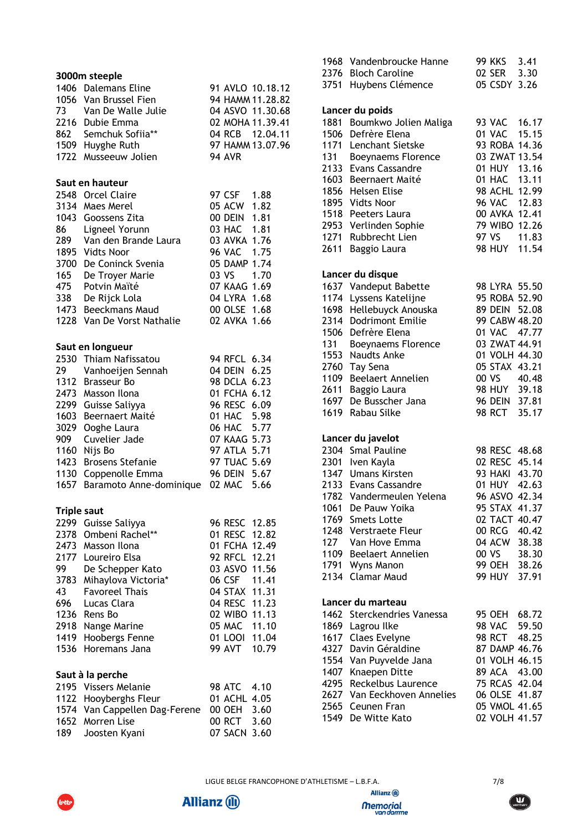|                    | 3000m steeple              |               |                  |
|--------------------|----------------------------|---------------|------------------|
|                    | 1406 Dalemans Eline        |               | 91 AVLO 10.18.12 |
|                    | 1056 Van Brussel Fien      |               | 94 HAMM 11.28.82 |
|                    | 73 Van De Walle Julie      |               | 04 ASVO 11.30.68 |
|                    | 2216 Dubie Emma            |               | 02 MOHA 11.39.41 |
|                    | 862 Semchuk Sofiia**       |               | 04 RCB 12.04.11  |
|                    | 1509 Huyghe Ruth           |               | 97 HAMM 13.07.96 |
|                    | 1722 Musseeuw Jolien       | <b>94 AVR</b> |                  |
|                    | Saut en hauteur            |               |                  |
|                    | 2548 Orcel Claire          | 97 CSF 1.88   |                  |
|                    | 3134 Maes Merel            | 05 ACW 1.82   |                  |
|                    | 1043 Goossens Zita         | 00 DEIN 1.81  |                  |
|                    | 86 Ligneel Yorunn          | 03 HAC 1.81   |                  |
| 289                | Van den Brande Laura       | 03 AVKA 1.76  |                  |
|                    | 1895 Vidts Noor            | 96 VAC 1.75   |                  |
|                    | 3700 De Coninck Svenia     | 05 DAMP 1.74  |                  |
|                    | 165 De Troyer Marie        | 03 VS 1.70    |                  |
|                    | 475 Potvin Maïté           | 07 KAAG 1.69  |                  |
|                    | 338 De Rijck Lola          | 04 LYRA 1.68  |                  |
|                    | 1473 Beeckmans Maud        | 00 OLSE 1.68  |                  |
|                    | 1228 Van De Vorst Nathalie | 02 AVKA 1.66  |                  |
|                    | Saut en longueur           |               |                  |
|                    | 2530 Thiam Nafissatou      | 94 RFCL 6.34  |                  |
| 29                 | Vanhoeijen Sennah          | 04 DEIN 6.25  |                  |
|                    | 1312 Brasseur Bo           | 98 DCLA 6.23  |                  |
|                    | 2473 Masson Ilona          | 01 FCHA 6.12  |                  |
|                    | 2299 Guisse Saliyya        | 96 RESC 6.09  |                  |
|                    | 1603 Beernaert Maité       | 01 HAC 5.98   |                  |
| 3029               | Ooghe Laura                | 06 HAC 5.77   |                  |
| 909                | Cuvelier Jade              | 07 KAAG 5.73  |                  |
|                    | 1160 Nijs Bo               | 97 ATLA 5.71  |                  |
|                    | 1423 Brosens Stefanie      | 97 TUAC 5.69  |                  |
|                    | 1130 Coppenolle Emma       | 96 DEIN 5.67  |                  |
| 1657               | Baramoto Anne-dominique    | 02 MAC 5.66   |                  |
| <b>Triple saut</b> |                            |               |                  |
| 2299               | Guisse Saliyya             | 96 RESC       | 12.85            |
| 2378               | Ombeni Rachel**            | 01 RESC       | 12.82            |
|                    | 2473 Masson Ilona          | 01 FCHA 12.49 |                  |
| 2177               | Loureiro Elsa              | 92 RFCL 12.21 |                  |
| 99                 | De Schepper Kato           | 03 ASVO 11.56 |                  |
| 3783               | Mihaylova Victoria*        | 06 CSF        | 11.41            |
| 43                 | <b>Favoreel Thais</b>      | 04 STAX 11.31 |                  |
| 696                | Lucas Clara                | 04 RESC 11.23 |                  |
| 1236               | Rens Bo                    | 02 WIBO 11.13 |                  |
| 2918               | Nange Marine               | 05 MAC 11.10  |                  |
| 1419               | Hoobergs Fenne             | 01 LOOI 11.04 |                  |
| 1536               | Horemans Jana              | 99 AVT        | 10.79            |
|                    | Saut à la perche           |               |                  |
| 2195               | <b>Vissers Melanie</b>     | <b>98 ATC</b> | 4.10             |
| 1122               | Hooyberghs Fleur           | 01 ACHL       | 4.05             |
| 1574               | Van Cappellen Dag-Ferene   | 00 OEH        | 3.60             |
| 1652               | Morren Lise                | 00 RCT        | 3.60             |
| 189                | Joosten Kyani              | 07 SACN 3.60  |                  |

| 2376<br>3751 | 1968 Vandenbroucke Hanne<br><b>Bloch Caroline</b><br>Huybens Clémence | 99 KKS 3.41<br>02 SER 3.30<br>05 CSDY 3.26 |                                |
|--------------|-----------------------------------------------------------------------|--------------------------------------------|--------------------------------|
|              | Lancer du poids                                                       |                                            |                                |
| 1881         | Boumkwo Jolien Maliga                                                 |                                            | 93 VAC 16.17                   |
| 1506         | Defrère Elena                                                         | 01 VAC                                     | 15.15                          |
| 1171         | Lenchant Sietske                                                      |                                            | 93 ROBA 14.36                  |
| 131          | Boeynaems Florence                                                    |                                            | 03 ZWAT 13.54                  |
| 2133         | <b>Evans Cassandre</b>                                                | 01 HUY                                     | 13.16                          |
|              | 1603 Beernaert Maité                                                  | 01 HAC                                     | 13.11                          |
| 1856         | Helsen Elise<br>1895 Vidts Noor                                       |                                            | 98 ACHL 12.99                  |
|              | 1518 Peeters Laura                                                    |                                            | 96 VAC 12.83<br>00 AVKA 12.41  |
| 2953         | Verlinden Sophie                                                      |                                            | 79 WIBO 12.26                  |
| 1271         | Rubbrecht Lien                                                        | 97 VS                                      | 11.83                          |
| 2611         | Baggio Laura                                                          |                                            | 98 HUY 11.54                   |
|              | Lancer du disque                                                      |                                            |                                |
|              | 1637 Vandeput Babette                                                 |                                            | 98 LYRA 55.50                  |
| 1174         | Lyssens Katelijne                                                     |                                            | 95 ROBA 52.90                  |
| 1698         | Hellebuyck Anouska                                                    | 89 DEIN                                    | 52.08                          |
| 2314         | <b>Dodrimont Emilie</b>                                               |                                            | 99 CABW 48.20                  |
| 1506         | Defrère Elena                                                         | 01 VAC                                     | 47.77                          |
| 131<br>1553  | Boeynaems Florence<br>Naudts Anke                                     |                                            | 03 ZWAT 44.91<br>01 VOLH 44.30 |
| 2760         | Tay Sena                                                              |                                            | 05 STAX 43.21                  |
| 1109         | Beelaert Annelien                                                     |                                            | 00 VS 40.48                    |
| 2611         | Baggio Laura                                                          |                                            |                                |
| 1697         | De Busscher Jana                                                      |                                            | 98 HUY 39.18<br>96 DEIN 37.81  |
| 1619         | Rabau Silke                                                           |                                            | 98 RCT 35.17                   |
|              | Lancer du javelot                                                     |                                            |                                |
|              | 2304 Smal Pauline                                                     |                                            | 98 RESC 48.68                  |
|              | 2301 Iven Kayla                                                       |                                            | 02 RESC 45.14                  |
|              | 1347 Umans Kirsten                                                    |                                            | 93 HAKI 43.70                  |
|              | 2133 Evans Cassandre                                                  |                                            | 01 HUY 42.63                   |
|              | 1782 Vandermeulen Yelena                                              |                                            | 96 ASVO 42.34                  |
| 1061<br>1769 | De Pauw Yoika<br><b>Smets Lotte</b>                                   |                                            | 95 STAX 41.37<br>02 TACT 40.47 |
| 1248         | Verstraete Fleur                                                      |                                            | 00 RCG 40.42                   |
| 127          | Van Hove Emma                                                         | 04 ACW                                     | 38.38                          |
| 1109         | Beelaert Annelien                                                     | 00 VS                                      | 38.30                          |
| 1791         | Wyns Manon                                                            |                                            | 99 OEH 38.26                   |
| 2134         | <b>Clamar Maud</b>                                                    | 99 HUY                                     | 37.91                          |
|              | Lancer du marteau                                                     |                                            |                                |
|              | 1462 Sterckendries Vanessa                                            |                                            | 95 OEH 68.72                   |
| 1869         | Lagrou Ilke                                                           | <b>98 VAC</b>                              | 59.50                          |
|              | 1617 Claes Evelyne                                                    | <b>98 RCT</b>                              | 48.25                          |
| 4327<br>1554 | Davin Géraldine<br>Van Puyvelde Jana                                  |                                            | 87 DAMP 46.76<br>01 VOLH 46.15 |
| 1407         | Knaepen Ditte                                                         | 89 ACA                                     | 43.00                          |
| 4295         | Reckelbus Laurence                                                    |                                            | 75 RCAS 42.04                  |
| 2627         | Van Eeckhoven Annelies                                                |                                            | 06 OLSE 41.87                  |
| 2565         | Ceunen Fran                                                           |                                            | 05 VMOL 41.65                  |
| 1549         | De Witte Kato                                                         |                                            | 02 VOLH 41.57                  |

**Allianz (ii)** 

Allianz (ii)

**Memorial**<br>van damme



lott